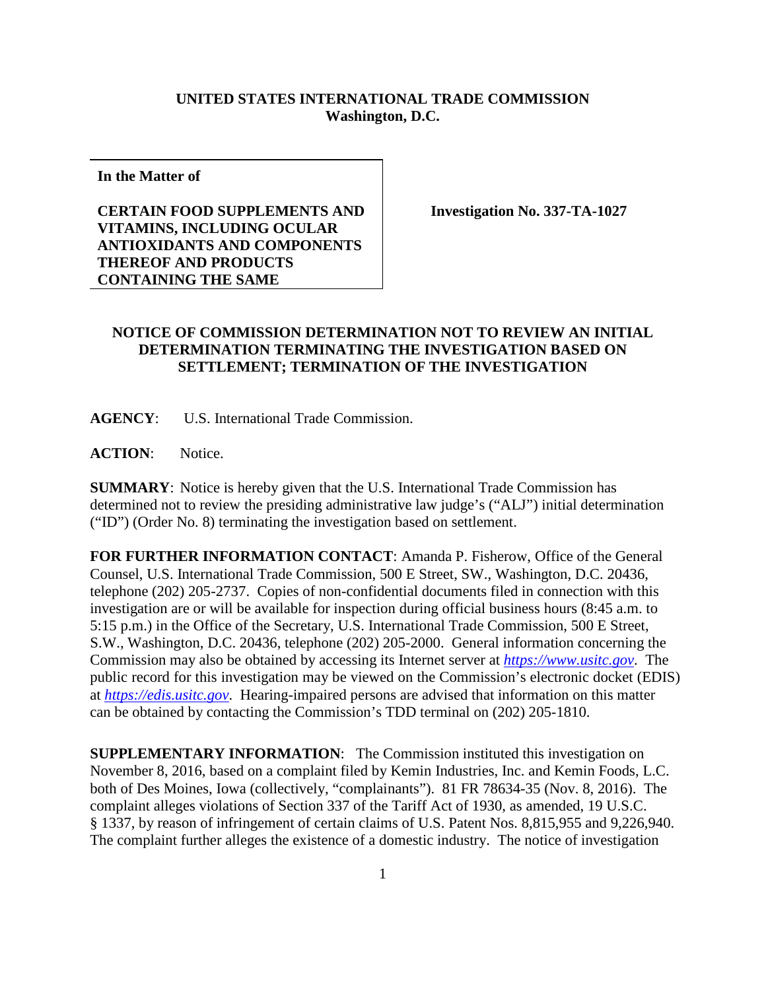## **UNITED STATES INTERNATIONAL TRADE COMMISSION Washington, D.C.**

**In the Matter of**

## **CERTAIN FOOD SUPPLEMENTS AND VITAMINS, INCLUDING OCULAR ANTIOXIDANTS AND COMPONENTS THEREOF AND PRODUCTS CONTAINING THE SAME**

**Investigation No. 337-TA-1027**

## **NOTICE OF COMMISSION DETERMINATION NOT TO REVIEW AN INITIAL DETERMINATION TERMINATING THE INVESTIGATION BASED ON SETTLEMENT; TERMINATION OF THE INVESTIGATION**

**AGENCY**: U.S. International Trade Commission.

ACTION: Notice.

**SUMMARY**: Notice is hereby given that the U.S. International Trade Commission has determined not to review the presiding administrative law judge's ("ALJ") initial determination ("ID") (Order No. 8) terminating the investigation based on settlement.

**FOR FURTHER INFORMATION CONTACT**: Amanda P. Fisherow, Office of the General Counsel, U.S. International Trade Commission, 500 E Street, SW., Washington, D.C. 20436, telephone (202) 205-2737. Copies of non-confidential documents filed in connection with this investigation are or will be available for inspection during official business hours (8:45 a.m. to 5:15 p.m.) in the Office of the Secretary, U.S. International Trade Commission, 500 E Street, S.W., Washington, D.C. 20436, telephone (202) 205-2000. General information concerning the Commission may also be obtained by accessing its Internet server at *[https://www.usitc.gov](https://www.usitc.gov/)*. The public record for this investigation may be viewed on the Commission's electronic docket (EDIS) at *[https://edis.usitc.gov](https://edis.usitc.gov/)*. Hearing-impaired persons are advised that information on this matter can be obtained by contacting the Commission's TDD terminal on (202) 205-1810.

**SUPPLEMENTARY INFORMATION:** The Commission instituted this investigation on November 8, 2016, based on a complaint filed by Kemin Industries, Inc. and Kemin Foods, L.C. both of Des Moines, Iowa (collectively, "complainants"). 81 FR 78634-35 (Nov. 8, 2016). The complaint alleges violations of Section 337 of the Tariff Act of 1930, as amended, 19 U.S.C. § 1337, by reason of infringement of certain claims of U.S. Patent Nos. 8,815,955 and 9,226,940. The complaint further alleges the existence of a domestic industry. The notice of investigation